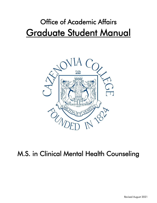# Office of Academic Affairs Graduate Student Manual



# M.S. in Clinical Mental Health Counseling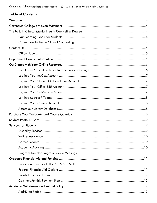|  |  |  | <b>Table of Contents</b> |
|--|--|--|--------------------------|
|--|--|--|--------------------------|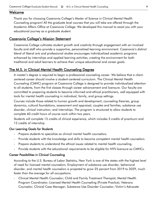# Welcome

Thank you for choosing Cazenovia College's Master of Science in Clinical Mental Health Counseling program! All the graduate level courses that you will take are offered through the Academic Affairs Office at Cazenovia College. We developed this manual to assist you with your educational journey as a graduate student.

# Cazenovia College's Mission Statement

Cazenovia College cultivates student growth and creativity through engagement with an involved faculty and staff who provide a supportive, personalized learning environment. Cazenovia's distinct blend of liberal arts and professional studies encourages individualized academic programs enhanced by internships and applied learning activities, creating the environment for both traditional and adult learners to achieve their unique educational and career goals.

# The M.S. in Clinical Mental Health Counseling Degree

A master's degree is required to begin a professional counseling career. We believe that a clientcentered career should involve a student-centered curriculum. The Clinical Mental Health Counseling (CMHC) program at Cazenovia College is designed to provide individualized attention to all students, from the first classes through career advancement and licensure. Our faculty are committed to preparing students to become informed and ethical practitioners, well equipped with tools for mental health counseling in individual, family, and group settings.

Courses include those related to human growth and development, counseling theories, group dynamics, cultural foundations, assessment and appraisal, couples and families, substance use disorder, clinical instruction, and internships. The program is structured to allow students to complete 60 credit hours of course work within two years.

Students will complete 15 credits of clinical experience, which includes 3 credits of practicum and 12 credits of internship

# Our Learning Goals for Students

- Prepare students to specialize as clinical mental health counselors.
- Provide students with the knowledge and skills to become competent mental health counselors.
- Prepare students to understand the ethical issues related to mental health counseling.
- Provide students with the educational requirements to be eligible for NYS licensure as CMHCs.

# Career Possibilities in Clinical Counseling

According to the U.S. Bureau of Labor Statistics, New York is one of the states with the highest level of need for licensed mental counselors. Employment of substance use disorder, behavioral disorder, and mental health counselors is projected to grow 25 percent from 2019 to 2029, much faster than the average for all occupations.

- Clinical Mental Health Counselor; Child and Family Treatment Therapist; Mental Health Program Coordinator; Licensed Mental Health Counseling (Private Practice); Veterans Counselor; Clinical Case Manager; Substance Use Disorder Counselor; Victim's Advocate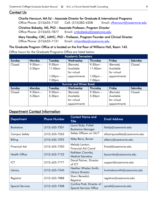# **Contact Us**

# Charlie Harcourt, MA Ed – Associate Director for Graduate & International Programs

Office Phone: (315)655-7107 Cell: (315)383-4208 Email: charcourt@cazenovia.edu

Christina Bobesky, MS, PhD – Associate Professor, Program Director

Office Phone: (315)655-7877 Email: [cmbobesky@cazenovia.edu](mailto:cmbobesky@cazenovia.edu)

Mary Handley, CRC, LMHC, PhD – Professor, Program Founder and Clinical Director Office Phone: (315)655-7131 Email: [mhandley@cazenovia.edu](mailto:mhandley@cazenovia.edu)

# The Graduate Program Office at is located on the first floor of Williams Hall, Room 143.

Office hours for the Graduate Programs Office are listed below:

|        |                    |                    | <b>Academic Semesters</b>      |                    |              |          |
|--------|--------------------|--------------------|--------------------------------|--------------------|--------------|----------|
| Sunday | Monday             | Tuesday            | Wednesday                      | Thursday           | Friday       | Saturday |
| Closed | $9:30$ am $-$      | $9:30$ am -        | (Remote)                       | $9:30$ am -        | (Remote)     | Closed   |
|        | 5:30pm             | $11:00$ am         | Available                      | $11:00$ am         | Available    |          |
|        |                    |                    | for virtual                    |                    | for virtual  |          |
|        |                    | $1:00$ pm $-$      | appointments                   | $1:00$ pm $-$      | appointments |          |
|        |                    | 7:00 <sub>pm</sub> |                                | 7:00pm             |              |          |
|        |                    |                    | <b>Summer and Winter Break</b> |                    |              |          |
| Sunday | <b>Monday</b>      | Tuesday            | Wednesday                      | Thursday           | Friday       | Saturday |
| Closed | $9:30$ am –        | $9:30$ am -        | (Remote)                       | $9:30$ am –        | (Remote)     | Closed   |
|        | 5:30 <sub>pm</sub> | 5:30 <sub>pm</sub> | Available                      | 5:30 <sub>pm</sub> | Available    |          |
|        |                    |                    | for virtual                    |                    | for virtual  |          |
|        |                    |                    | appointments                   |                    | appointments |          |

# Department Contact Information

| <b>Department</b>       | <b>Phone Number</b> | <b>Contact Name and</b><br><b>Title</b>                      | <b>Email Address</b>          |
|-------------------------|---------------------|--------------------------------------------------------------|-------------------------------|
| <b>Bookstore</b>        | $(315) 655 - 7301$  | Laura Stolp, Follett<br><b>Bookstore Manager</b>             | llstolp@cazenovia.edu         |
| <b>Campus Safety</b>    | $(315)$ 655-7555    | Safety Officers on 24/7                                      | allcampussafety@cazenovia.edu |
| Billing                 | (315) 655-7292      | Abby Berry, Bursar                                           | alberry@cazenovia.edu         |
| <b>Financial Aid</b>    | $(315)$ 655-7250    | Melody Lawton,<br><b>Financial Aid Coord</b>                 | finaid@cazenovia.edu          |
| <b>Health Office</b>    | $(315) 655 - 7122$  | Kathleen Coombs,<br><b>Medical Secretary</b>                 | kjcoombs@cazenovia.edu        |
| <b>ICT</b>              | $(315) 655 - 7777$  | David Palmer, Director<br>of ICT                             | support@cazenovia.edu         |
| Library                 | $(315) 655 - 7240$  | Heather Whalen Smith,<br>Library Director                    | hcwhalensmith@cazenovia.edu   |
| Registrar               | $(315)$ 655-7888    | Sherri Benedict,<br>Registrar                                | registrar@cazenovia.edu       |
| <b>Special Services</b> | $(315) 655 - 7308$  | Cynthia Pratt, Director of<br><b>Special Services Office</b> | cpratt@cazenovia.edu          |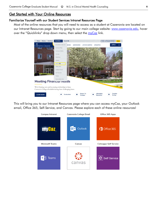# **Get Started with Your Online Resources**

# Familiarize Yourself with our Student Services Intranet Resources Page

Most of the online resources that you will need to access as a student at Cazenovia are located on our Intranet Resources page. Start by going to our main college website: [www.cazenovia.edu,](https://www.cazenovia.edu/) hover over the "Quicklinks" drop down menu, then select the [myCaz](https://mycaz.cazenovia.edu/Pages/Home.aspx) link.



This will bring you to our Intranet Resources page where you can access myCaz, your Outlook email, Office 365, Self-Service, and Canvas. Please explore each of these online resources!

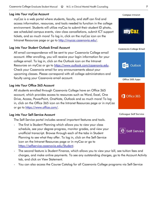# Log into Your myCaz Account

myCaz is a web portal where students, faculty, and staff can find and access information, resources, and tools needed to function in the college environment. Students will utilize myCaz to submit their student ID photo, see scheduled campus events, view class cancellations, submit ICT support tickets, and so much more! To log in, click on the myCaz icon on the Intranet Resources page or go to [http://mycaz.cazenovia.edu/.](http://mycaz.cazenovia.edu/)

# Log into Your Student Outlook Email Account

All email correspondence will be sent to your Cazenovia College email account. After enrolling, you will receive your login information for your college email. To log in, click on the Outlook icon on the Intranet Resources on myCaz or go to [https://www.outlook.com/cazenovia.edu.](https://www.outlook.com/cazenovia.edu) Check your Cazenovia email for any announcements about your upcoming classes. Please correspond with all college administrators and faculty using your Cazenovia email account.

# Log into Your Office 365 Account

All students enrolled through Cazenovia College have an Office 365 account, which provides access to resources such as Word, Excel, One Drive, Access, PowerPoint, OneNote, Outlook and so much more! To log in, click on the Office 365 icon on the Intranet Resources page or in myCaz or go to [https://www.office.com/.](https://www.office.com/)

# Log into Your Self-Service Account

The Self-Service portal includes several important features and tools.

- The first is Student Planning which allows you to view your class schedule, see your degree progress, monitor grades, and view your unofficial transcript. Browse through each of the tabs in Student Planning to see what they offer. To log in, click on the Self-Service icon on the Intranet Resources page or in myCaz or go to [https://selfservice.cazenovia.edu/Student.](https://selfservice.cazenovia.edu/Student)
- The second feature is Student Finance, which allows you to view your bill, see tuition fees and charges, and make online payments. To see any outstanding charges, go to the Account Activity tab, and click on View Statement.
- You can also access the Course Catalog for all Cazenovia College programs via Self-Service

# Office 365 Apps

Office 365

0 Outlook

#### **Colleague Self Service**



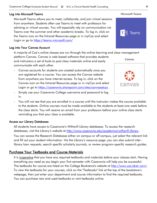# Log into Microsoft Teams

Microsoft Teams allows you to meet, collaborate, and join virtual sessions from anywhere. Students often use Teams to meet with professors for advising or virtual courses. You will especially rely on communication via Teams over the summer and other academic breaks. To log in, click on the Teams icon on the Intranet Resources page or in myCaz and select Login or go to <https://teams.microsoft.com/>

# Log into Your Canvas Account

A majority of Caz's online classes are run through the online learning and class management

platform Canvas. Canvas is web-based software that provides students and instructors a set of tools to post class materials online and easily communicate with each other.

- Canvas accounts for students are created automatically once you are registered for a course. You can access the Canvas website from anywhere you have internet access. To log in, click on the Canvas icon on the Intranet Resources page or in myCaz and select Login or go to [https://cazenovia.sharepoint.com/sites/canvasatcaz.](https://cazenovia.sharepoint.com/sites/canvasatcaz)
- Simply use your Cazenovia College username and password to log in.
- You will not see that you are enrolled in a course until the instructor makes the course available to the students. Online courses must be made available to the students at least one week before the class starts. You will receive an email from your professors before your online class starts reminding you that your class is available.

# Access our Library Databases

All students have access to Cazenovia's Witherill Library databases. To access the research databases, visit the Library's website at [http://www.cazenovia.edu/academics/witherill-library.](https://www.cazenovia.edu/academics/witherill-library)

You can access the Research Databases either on campus or off campus, just select the relevant link and fill out your student information. Via the Library's resource page, you can also submit interlibrary loan requests, search specific scholarly journals, or review program-specific research guides.

# Purchase Your Textbooks and Course Materials

It is imperative that you have any required textbooks and materials before your classes start. Having everything you need as you begin your first semester with Cazenovia will help you be successful. The textbooks for course are listed on the College Bookstore's website at [http://www.caz.bkstr.com/.](http://www.caz.bkstr.com/) To view the textbooks for your courses, click on the "Textbooks" link at the top of the bookstore's webpage, then just enter your department and course information to find the required textbooks. You can purchase new and used textbooks or rent textbooks online.



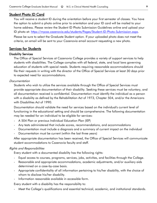# Student Photo ID Card

You will receive a student ID during the orientation before your first semester of classes. You have the option to submit a photo online prior to orientation and your ID card will be mailed to your home address. Please review the Student ID Photo Submission Guidelines online and upload your ID photo at: [https://mycaz.cazenovia.edu/students/Pages/Student-ID-Photo-Submission.aspx.](https://mycaz.cazenovia.edu/students/Pages/Student-ID-Photo-Submission.aspx)

Please be sure to select the Graduate Student option. If your uploaded photo does not meet the criteria, an email will be sent to your Cazenovia email account requesting a new photo.

# Services for Students

#### Disability Services

The Office of Special Services at Cazenovia College provides a variety of support services to help students with disabilities. The College complies with all federal, state, and local laws governing education of students with special needs. Students requiring reasonable accommodations should file their requests in writing with the director of the Office of Special Services at least 30 days prior to expected need for accommodations.

#### Documentation

Students who wish to utilize the services available through the Office of Special Services must provide appropriate documentation of their disability. Seeking these services must be voluntary, and all documentation received is confidential. Documentation must identify the individual as a person with a disability as defined by the Rehabilitation Act of 1973, Chapter 504, and/or the Americans with Disabilities Act of 1990.

Documentation should validate the need for services based on the individual's current level of functioning in the educational setting and should be comprehensive. The following documentation may be needed for an individual to be eligible for services:

- A 504 Plan or previous Individual Education Plan (IEP)
- Any tests administered that include scores, recommendations, and accommodations
- Documentation must include a diagnosis and a summary of current impact on the individual
- Documentation must be current (within the last three years)

After appropriate documentation has been received, the Office of Special Services will communicate student accommodations to Cazenovia faculty and staff.

#### Rights and Responsibilities

Every student with a documented disability has the following rights:

- Equal access to courses, programs, services, jobs, activities, and facilities through the College.
- Reasonable and appropriate accommodations, academic adjustments, and/or auxiliary aids determined on a case-by-case basis.
- Appropriate confidentiality of all information pertaining to his/her disability, with the choice of whom to disclose his/her disability.
- Information reasonable available in accessible form.

Every student with a disability has the responsibility to:

- Meet the College's qualifications and essential technical, academic, and institutional standards.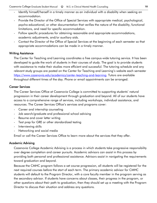- Identify himself/herself in a timely manner as an individual with a disability when seeking an accommodation.
- Provide the Director of the Office of Special Services with appropriate medical, psychological, psycho-educational, or other documentation that verifies the nature of the disability, functional limitations, and need for specific accommodation.
- Follow specific procedures for obtaining reasonable and appropriate accommodations, academic adjustments, and/or auxiliary aids.
- Contact the Director of the Office of Special Services at the beginning of each semester so that appropriate accommodations can be made in a timely manner.

# Writing Assistance

The Center for Teaching and Learning coordinates a free campus-wide tutoring service. It has been developed to guide the work of students in their courses of study. The goal is to provide students with assistance to make their studies more efficient and successful. The tutoring schedule and any relevant study groups are posted on the Center for Teaching and Learning's website each semester [https://www.cazenovia.edu/academics/center-teaching-and-learning.](https://www.cazenovia.edu/academics/center-teaching-and-learning) Tutors are available throughout different times of the day. Phone or email appointments can be arranged.

# Career Services

The Career Services Office at Cazenovia College is committed to supporting students' natural progression in their career development through graduation and beyond. All of our students have access to a comprehensive range of services, including workshops, individual assistance, and resources. The Career Services Office's services and programs cover:

- Career and internship counseling
- Job search/graduate and professional school advising
- Resume and cover letter writing
- Test prep for GRE or other standardized testing
- Interviewing skills
- Networking and social media

Email or call the Career Services Office to learn more about the services that they offer.

# Academic Advising

Cazenovia College Academic Advising is a process in which students take progressive responsibility over degree completion and career pursuits. Academic advisors can assist in this process by providing both personal and professional assistance. Advisors assist in navigating the requirements toward graduation and beyond.

Because the CMHC program follows a set course progression, all students will be registered for the next required courses before the start of each term. The primary academic advisor for CMHC students will default to the Program Director, with a core faculty member in the program serving as the secondary advisor. If students have concerns about classes, their progress in the program, or other questions about their path to graduation, then they should set up a meeting with the Program Director to discuss their situation and address any questions.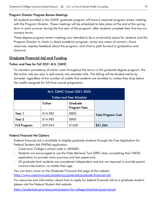# Program Director Progress Review Meetings

All students enrolled in the CMHC graduate program will have a required progress review meeting with the Program Director. These meetings will be scheduled to take place at the end of the spring term or early summer during the first year of the program, after students complete their first two oncampus terms.

These degree progress review meetings are intended to be a constructive space for students and the Program Director to check-in about academic progress, review any areas of concern, share resources, express feedback about the program, and chart a path forward to graduation and licensure.

# Graduate Financial Aid and Funding

# Tuition and Fees for Fall 2021 M.S. CMHC

To maintain consistency of tuition costs throughout the terms in this graduate degree program, the flat tuition rate per year is split evenly into semester bills. The billing will be divided evenly by semester regardless of the number of credits that students are enrolled in, unless they drop below the credits assigned for full-time course progression.

| M.S. CMHC Cohort 2021-2023<br><b>Tuition and Fees Schedule</b> |          |                                 |                           |  |
|----------------------------------------------------------------|----------|---------------------------------|---------------------------|--|
|                                                                |          |                                 |                           |  |
|                                                                | Tuition  | Graduate<br><b>Program Fees</b> |                           |  |
| Year 1                                                         | \$14,982 | \$800                           | <b>Total Program Cost</b> |  |
| Year 2                                                         | \$14,982 | \$800                           |                           |  |
| <b>Full Program</b>                                            | \$29,964 | \$1600                          | \$31,564                  |  |

# Federal Financial Aid Options

Federal financial aid is available to eligible graduate students through the Free Application for Federal Student Aid (FAFSA) application.

- Cazenovia College's school code is: 002685.
- Students are encouraged to use the Data Retrieval Tool (DRT) when completing their FAFSA application to provide more accuracy and less paperwork.
- All graduate level students are considered independent and are not required to provide parent income information, no matter their age.

You can learn more on the Graduate Financial Aid page of the website: <https://www.cazenovia.edu/academics/graduate/graduate-financial-aid>

For resources and information about how to apply for federal financial aid as a graduate student, please visit the Federal Student Aid website:

<https://studentaid.gov/resources/prepare-for-college/checklists/grad-school>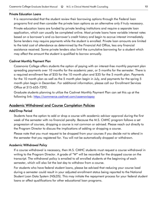# Private Education Loans

It is recommended that the student review their borrowing options through the Federal loan programs first and then consider the private loan options as an alternative only if truly necessary.

Private education loans are funded by private lending institutions and require a separate loan application, which can usually be completed online. Most private loans have variable interest rates based on a borrower's and co-borrower's credit history and begin to accrue interest immediately. Some lenders may require payments while the student is enrolled. Private loan amounts are limited to the total cost of attendance as determined by the Financial Aid Office, less any financial assistance received. Some private lenders also limit the cumulative borrowing for a student which may affect the amount the student is qualified to borrow annually.

# Cashnet Monthly Payment Plan

Cazenovia College offers students the option of paying with an interest-free monthly payment plan spreading payments over 10 months for the academic year, or 5 months for the semester. There is a required enrollment fee of \$55 for the 10 month plan and \$35 for the 5 month plan. Payments for the 10 month plan as well as the 5 month plan begin in July, and payments for the spring 5 month plan begin in December. For additional information, please call our Enrollment Services Office at 315-655-7292.

Graduate students planning to utilize the Cashnet Monthly Payment Plan can set this up at the following link:<https://commerce.cashnet.com/cazenoviapay>

# Academic Withdrawal and Course Completion Policies

# Add/Drop Period

Students have the option to add or drop a course with academic advisor approval during the first week of the semester with no financial penalty. Because the M.S. CMHC program follows a set progression of courses, dropping a course is not common or advised. Please reach out directly to the Program Director to discuss the implications of adding or dropping a course.

Please note that you must request to be dropped from your courses if you decide not to attend in the semester that you registered for. You will not be automatically dropped or withdrawn.

#### Academic Withdrawal Policy

If a course withdrawal is necessary, then M.S. CMHC students must request a course withdrawal in writing to the Program Director. A grade of "W" will be recorded for the dropped course on the transcript. The withdrawal policy is emailed to all enrolled students at the beginning of each semester, which will also list the last day to withdraw from a course.

For students who have federal student loans, please be advised that reducing your course load during a semester could result in your adjusted enrollment status being reported to the National Student Loan Data System (NSLDS). This may initiate the repayment process for your federal student loans or affect qualifications for other educational loan programs.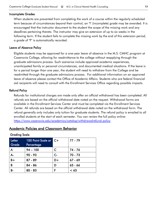# Incomplete Grades

When students are prevented from completing the work of a course within the regularly scheduled term because of circumstances beyond their control, an "I" (incomplete) grade may be awarded. It is encouraged that the instructor document to the student the scope of the missing work and any deadlines pertaining thereto. The instructor may give an extension of up to six weeks in the following term. If the student fails to complete the missing work by the end of this extension period, a grade of "F" is automatically recorded.

# Leave of Absence Policy

Eligible students may be approved for a one-year leave of absence in the M.S. CMHC program at Cazenovia College, allowing for readmittance to the college without reapplying through the graduate admissions process. Such scenarios include approved academic experiences, unanticipated family or personal circumstances, and documented medical situations. If the leave is for a period longer than one year, the student will need to withdraw from the College and be readmitted through the graduate admissions process. For additional information on an approved leave of absence please contact the Office of Academic Affairs. Students who are federal financial aid recipients will need to consult with the Enrollment Services Office regarding possible impacts.

# Refund Policy

Refunds for institutional charges are made only after an official withdrawal has been completed. All refunds are based on the official withdrawal date noted on the request. Withdrawal forms are available in the Enrollment Services Center and must be completed via the Enrollment Services Center. All refunds are based on the official withdrawal date noted on the withdrawal form. The refund generally only includes only tuition for graduate students. The refund policy is emailed to all enrolled students at the start of each semester. You can review the full policy online: <https://www.cazenovia.edu/academics/catalog/withdrawalrefund-policy>

# Academic Policies and Classroom Behavior

# Grading Scale

| Letter<br>Grade | 100 Point Scale or C+<br>Percentage |      | 77 - 79   |
|-----------------|-------------------------------------|------|-----------|
| A               | $94 - 100$                          | C    | 74 - 76   |
| $A -$           | $90 - 93$                           | $C-$ | $70 - 73$ |
| $B +$           | $87 - 89$                           | D+   | $67 - 69$ |
| B               | 84 - 86                             | D    | $65 - 66$ |
| В-              | $80 - 83$                           |      | < 65      |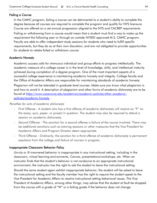# Failing a Course

In the CMHC program, failing a course can be detrimental to a student's ability to complete the degree because all courses are required to complete the program and qualify for NYS licensure. Course are offered on a set annual progression aligned to the NYS and CACREP requirements. Failing or withdrawing from a course would mean that a student must find a way to make up the requirement the following year or through an outside NYSED approved M.S. CMHC program. Faculty are able to offer independent study sessions for students who need to fulfill specific requirements, but they do so at their own discretion, and are not obligated to provide opportunities for students to retake failed or withdrawn course.

#### Academic Honesty

Academic success calls for strenuous individual and group efforts to progress intellectually. The academic measure of a college career is in the level of knowledge, skills, and intellectual maturity achieved during completion of a degree program. One of the most important aspects of a successful college experience is maintaining academic honesty and integrity. College faculty and the Office of Academic Affairs are responsible for maintaining standards of academic honesty.

Plagiarism will not be tolerated in graduate level courses. Make sure you know what plagiarism is and how to avoid it. A description of plagiarism and other forms of academic dishonesty are to be found at [https://www.cazenovia.edu/academics/academic-policies/other-academic](https://www.cazenovia.edu/academics/academic-policies/other-academic-policies/academic-honesty)[policies/academic-honesty](https://www.cazenovia.edu/academics/academic-policies/other-academic-policies/academic-honesty)

#### Penalties for acts of academic dishonesty

- First Offense A student who has a first offense of academic dishonesty will receive an "F" on the essay, quiz, paper, or project in question. The student may also be required to attend a session on academic dishonesty.
- Second Offense The sanction for a second offense is failure of the course involved. There may be additional sanctions such as tutoring sessions or other measures that the Vice President for Academic Affairs and Program Director deem appropriate.
- Third Offense Ordinarily, the sanction for a third offense of academic dishonesty is permanent expulsion from the college and failure of courses in progress.

# Inappropriate Classroom Behavior Policy

Unruly or ill-mannered behavior is inappropriate in any instructional setting, including in the classroom, virtual learning environments, Canvas, presentations/workshops, etc. When an instructor finds that the student's behavior is not conducive to an appropriate instructional environment, the instructor has the right to ask the student to leave the instructional setting. Should the same student again exhibit inappropriate behavior, the student will be asked to leave the instructional setting and the faculty member has the right to require the student speak to the Vice President for Academic Affairs to resolve instructional setting behavioral issues. The Vice President of Academic Affairs, among other things, may advise that the student at fault be dropped from the course with a grade of "W" or a failing grade if the behavior does not change.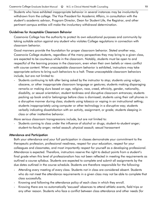Students who have exhibited inappropriate behavior in several instances may be involuntarily withdrawn from the college. The Vice President for Academic Affairs, in consultation with the student's academic advisor, Program Director, Dean for Student Life, the Registrar, and other pertinent campus entities will make the involuntary withdrawal determination.

#### Guidelines for Acceptable Classroom Behavior

Cazenovia College has the authority to protect its own educational purposes and community by taking suitable action against any student who violates College regulations in connection with classroom behavior.

Good manners provide the foundation for proper classroom behavior. Stated another way, Cazenovia College students, regardless of the many perspectives they may bring to a given class, are expected to be courteous while in the classroom. Notably, students must be open to and respectful of the learning process in the classroom, even when their own beliefs or views conflict with course content. When unacceptable classroom behavior is exhibited, instructors may take appropriate actions to bring such behaviors to a halt. These unacceptable classroom behaviors include, but are not limited to:

Students continuing to talk after being asked by the instructor to stop; students using vulgar, obscene, or other inappropriate classroom language or gestures; students making disparaging remarks or making slurs based on age, religion, race, creed, ethnicity, gender, nationality, disability, or sexual orientation; student tardiness and disruptive classroom entrances; students packing up book and/or belongings before class is dismissed; students using their cell phones in a disruptive manner during class; students using tobacco or vaping in an instructional setting; students inappropriately using computer or other technology in a disruptive way; students verbally indicating dissatisfaction with an activity, assignment, or grade; students sleeping in class or other inattentive behavior.

More serious classroom transgressions include, but are not limited to:

Students coming to class under the influence of alcohol or drugs; student-to-student anger; student-to-faculty anger; verbal assault; physical assault; sexual harassment

#### Attendance and Participation

Both your attendance and your full participation in classes demonstrate your commitment to the therapeutic profession, professional readiness, respect for your education, respect for your colleagues and classmates, and most importantly respect for yourself as a developing professional. Attendance is expected. Therefore, instructors reserve the right to deduct points from a student's final grade when this level of professionalism has not been reflected in meeting the requirements as outlined a course syllabus. Students are expected to complete and submit all assignments by the due dates outlined in the course schedule. Students are therefore responsible for the following:

- Attending every meeting of every class. Students not in class are considered absent. Students who do not meet the attendance requirements in a given class may not be able to complete that class successfully.
- Knowing and following the attendance policy of each class in which they enroll.
- Knowing there are no automatically "excused" absences to attend athletic events, field trips or any other reason. Students who face a conflict between class attendance and other needs (for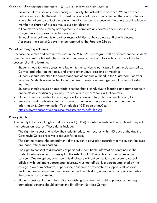example, illness, serious family crisis) must notify the instructor in advance. When advance notice is impossible, the instructor must be contacted as soon as possible. There is no situation where the failure to contact the relevant faculty member is excusable. No one except the faculty member in charge of a class may excuse an absence.

- All coursework and making arrangements to complete any coursework missed including assignments, tests, exams, lecture notes, etc.
- Scheduling appointments and other responsibilities so they do not conflict with classes.
- Absences in excess of 2 days may be reported to the Program Director.

# Virtual Learning Expectations

Because the winter and summer courses in the M.S. CMHC program will be offered online, students need to be comfortable with the virtual learning environment and follow basic expectations for successful online learning.

- Students need to have access to reliable internet service to participate in online classes, utilize Canvas and other online tools, and attend other virtual sessions or meetings.
- Students should maintain the same standards of conduct outlined in the Classroom Behavior sessions. Students are expected to be attentive, present, and engaged in all aspects of virtual learning.
- Students should secure an appropriate setting that is conducive to learning and participating in online classes, particularly for any live sessions in synchronous virtual courses.
- Students are responsible for learning how to access and fully utilize online learning tools.
- Resources and troubleshooting assistance for online learning tools can be found on the Information & Communication Technologies (ICT) page of myCaz: <https://mycaz.cazenovia.edu/resources/ict/Pages/default.aspx>

# Privacy Rights

The Family Educational Rights and Privacy Act (FERPA) affords students certain rights with respect to their education records. These rights include:

- The right to inspect and review the student's education records within 45 days of the day the Cazenovia College receives a request for access.
- The right to request the amendment of the student's education records that the student believes are inaccurate or misleading.
- The right to consent to disclosures of personally identifiable information contained in the student's education records, except to the extent that FERPA authorizes disclosure without consent. One exception, which permits disclosure without consent, is disclosure to school officials with legitimate educational interests. A school official is a person employed by the college in an administrative, supervisory, academic or research, or support staff position (including law enforcement unit personnel and health staff); a person or company with whom the college has contracted.
- Students desiring further information or wishing to waive their right to privacy by naming authorized persons should contact the Enrollment Services Center.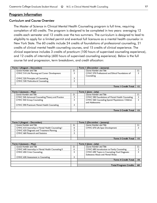# Program Information

#### Curriculum and Course Overview

The Master of Science in Clinical Mental Health Counseling program is full time, requiring completion of 60 credits. The program is designed to be completed in two years: averaging 12 credits each semester and 12 credits over the two summers. The curriculum is designed to lead to eligibility to apply for a limited permit and eventual full licensure as a mental health counselor in New York State. The 60 credits include 24 credits of foundations of professional counseling, 21 credits of clinical mental health counseling courses, and 15 credits of clinical experience. The clinical experience includes 3 credits of practicum (100 hours of supervised counseling experience), and 12 credits of internship (600 hours of supervised counseling experience). Below is the full course list and progression, term breakdown, and credit allocation:

| Term I (August - December)                                                       |        | Term I (December - January)                                                                                                       |        |
|----------------------------------------------------------------------------------|--------|-----------------------------------------------------------------------------------------------------------------------------------|--------|
| Course Number and Title                                                          | G.     | Course Number and Title                                                                                                           | Cr.    |
| CMHC 510 Life Planning and Career Development                                    | 3      | CMHC 570 Professional and Ethical Foundations of<br>Counseling                                                                    | 3      |
| CMHC 520 Principles of Counseling                                                | 3      |                                                                                                                                   |        |
| CMHC 530 Multicultural Counseling                                                | 3      |                                                                                                                                   |        |
|                                                                                  |        | <b>Term I Credit Total</b>                                                                                                        | 12     |
| Term 2 (January - May)                                                           |        | Term 2 (June - July)                                                                                                              |        |
| Course Number and Title                                                          | G.     | Course Number and Title                                                                                                           | Cr.    |
| CMHC 540 Advanced Counseling Theory and Practice                                 | 3      | CMHC 580 Foundations of Mental Health Counseling                                                                                  | 3      |
| CMHC 550 Group Counseling                                                        | 3      | CMHC 560 Counseling Special Populations: Children<br>and Adolescents                                                              | 3      |
| CMHC 590 Practicum Mental Health Counseling                                      | 3      |                                                                                                                                   |        |
|                                                                                  |        |                                                                                                                                   |        |
|                                                                                  |        | <b>Term 2 Credit Total</b>                                                                                                        | 15     |
| Term 3 (August - December)                                                       |        | Term 3 (December - January)                                                                                                       |        |
| Course Number and Title                                                          | G.     | Course Number and Title                                                                                                           | Cr.    |
| CMHC 610 Internship in Mental Health Counseling I                                | 6      | CMHC 670 Life Span Development                                                                                                    | 3      |
| CMHC 620 Diagnosis and Treatment Planning                                        | 3      |                                                                                                                                   |        |
| CMHC 660 Research and Statistics                                                 | 3      |                                                                                                                                   |        |
|                                                                                  |        | <b>Term 3 Credit Total</b>                                                                                                        | 15     |
|                                                                                  |        |                                                                                                                                   |        |
| Term 4 (January - May)                                                           |        | Term 4 (June - July)                                                                                                              |        |
| Course Number and Title                                                          | Cr.    | Course Number and Title                                                                                                           | Cr.    |
| CMHC 640 Internship in Mental Health Counseling II<br>CMHC 650 Crisis Counseling | 6<br>3 | CMHC 680 Introduction to Family Counseling<br>CMHC 690 Topics in Counseling Dual Diagnosis:<br>Substance Abuse and Mental Illness | 3<br>3 |
| CMHC 630 Assessment in Counseling                                                | 3      |                                                                                                                                   |        |
|                                                                                  |        | <b>Term 4 Credit Total</b>                                                                                                        | 18     |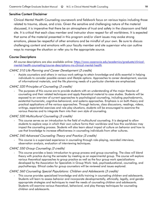# Sensitive Content Disclaimer

Clinical Mental Health Counseling coursework and fieldwork focus on various topics including those related to trauma, abuse, and crisis. Given the sensitive and challenging nature of the material discussed, it is imperative that there be an atmosphere of trust and safety in the classroom and field site. It is critical that each class member and instructor show respect for all worldviews. It is expected that some of the material presented in this program and/or client issues may evoke strong emotions, please be respectful of other emotions and be mindful of your own. Be sure to discuss challenging content and emotions with your faculty member and site supervisor who can outline ways to manage the situation or refer you to the appropriate source.

# Course Descriptions

All course descriptions are also available online: [https://www.cazenovia.edu/academics/graduate/clinical](https://www.cazenovia.edu/academics/graduate/clinical-mental-health-counseling/course-descriptions-ms-clinical-mental-health)[mental-health-counseling/course-descriptions-ms-clinical-mental-health](https://www.cazenovia.edu/academics/graduate/clinical-mental-health-counseling/course-descriptions-ms-clinical-mental-health)

# CMHC 510 Life Planning and Career Development (3 credits)

Assists counselors and others in various work settings to attain knowledge and skills essential in helping individuals to consider possible careers and lifestyle options. Approaches to career development, sources of informational materials, and the life planning needs of a particular clientele are emphasized.

# CMHC 520 Principles of Counseling (3 credits)

The purposes of this course are to provide students with an understanding of the major theories of counseling and their related techniques and apply theoretical material to case studies. Students will be exposed to an overview of current approaches to psychological counseling, including psychodynamic, existential-humanistic, cognitive-behavioral, and systems approaches. Emphasis is on both theory and practical applications of the various approaches. Through lectures, class discussions, readings, videos, writings, experiential exercises and role play situations, students will be encouraged to examine the various theories and to integrate them into their own style of counseling.

# CMHC 530 Multicultural Counseling (3 credits)

This course serves as an introduction to the field of multicultural counseling. It is designed to allow students to explore ways in which their own culture forms their worldview and how this worldview may impact the counseling process. Students will also learn about impact of culture on behavior and how to use that knowledge to increase effectiveness in counseling individuals from other cultures.

# CMHC 540 Advanced Counseling Theory and Practice (3 credits)

This course is a supervised experience in counseling through role-playing, recorded interviews, observation analysis, evaluation of interviewing techniques.

# CMHC 550 Group Counseling (3 credits)

This course provides a basic introduction to group process and group counseling. The class will blend theory with practice during the semester by meeting as an experimental group. The course will explore various theoretical approaches to group practice as well as the four group work specializations developed by the Association for Specialists in Group Work: task, psychoeducational, counseling, and psychotherapy. Ethical codes for group counselors will be reviewed and issues explored.

# CMHC 560 Counseling Special Populations: Children and Adolescents (3 credits)

- This course provides specialized knowledge and skills training in counseling children and adolescents. Students will learn to assess behavior and incorporate developmentally, ethnically, legally, and gender appropriate strategies and techniques to meet the needs of counseling children and adolescents. Students will examine various theoretical, behavioral, and play therapy techniques for counseling children and adolescents.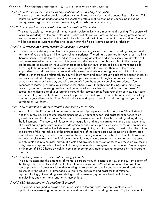# CMHC 570 Professional and Ethical Foundations of Counseling (3 credits)

This course is designed to provide students with an introductory view into the counseling profession. This course will provide an understanding of aspects of professional functioning in counseling including history, roles, organizational structures, ethics, standards, and credentialing.

# CMHC 580 Foundations of Mental Health Counseling (3 credits)

- This course explores the issues of mental health service delivery in a mental health setting. The course will focus on knowledge of the principles and practices of ethical standards of the counseling profession, as well as the role and function of the mental health counselor within a community agency setting. Students will be exposed to current professional issues within the field of counseling and psychology.

# CMHC 590 Practicum Mental Health Counseling (3 credits)

This course provides opportunities to integrate your learning so far from your counseling program and for many of you provides an initial counseling experience. The primary goals are for you to learn to listen therapeutically, provide the core conditions of counseling as well as additional client care, develop selfawareness related to these roles, and integrate this self-awareness and basic skills into the person you are becoming as counselor. Your willingness to gain the self-awareness, self-development and skills necessary to be an effective counselor is an important part of this course. Therefore, the course emphasizes counselor self-awareness and self-development, while focusing on your ability to interact effectively in therapeutic relationships. You will learn from and grow through each other's experiences, as well as your individual experiences. As you share your experiences, thoughts and reactions with your peers as well as your instructor, you will also benefit from the group's combined experience. Your openness to learning, sharing your experiences, sharing your thoughts and feelings, and joining your peers in giving and receiving feedback will be required for your learning and that of your peers. Of course, a significant part of your learning through this course comes from your client service. Your care and service to your clients should be your first priority. Dedicate yourself to be the very best counselor you can be for your clients at this time. Be self-reflective and open to learning and sharing, and your skill development will follow.

# CMHC 610 Internship in Mental Health Counseling I (6 credits)

Internship I is the first course in a two-semester internship sequence that is part of the Clinical Mental Health Counseling. This course complements the 300 hours of supervised practical experience to be gained concurrently at the student's field work placement in a mental health counseling setting during the fall semester. The course will focus on the integration of didactic learning with the actual experience of counseling in a practicum setting by addressing specific topics, practicum experiences and counseling cases. Topics addressed will include assessing and negotiating learning needs; understanding the nature and culture of the internship site; the professional role of the counselor; developing one's identity as a counselor-in-training; the role of supervision, the counseling relationship, ethical and multicultural issues; and other topics relevant to the field settings in which students are placed. As the semester progresses and students begin to counsel individual clients and groups, supervision of cases will focus on counseling skills, case conceptualization, treatment planning, intervention strategies and termination. Students spend a minimum of 16-20 hours a week in a college or community agency setting approved by the Program Director.

# CMHC 620 Diagnosis and Treatment Planning (3 credits)

This course examines the diagnosis of mental disorders through extensive review of the current edition of the Diagnostic and Statistical Manual, 5th edition, text revision (DSM-5-TR) and related information. This course provides a framework for understanding the range of personality and behavioral disorders as presented in the DSM-5-TR. Emphasis is given to the principles and practices that relate to psychopathology, DSM-5 diagnosis, etiology and assessment, systematic treatment planning, interviewing, and short- and long-term interventions.

# CMHC 630 Assessment in Counseling (3 credits)

This course is designed to provide and introduction to the principles, concepts, methods, and applications of assessing human experience and behavior for counseling purposes. Topics included for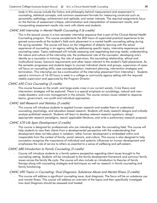study in this course include the history and philosophy behind measurement and assessment in counseling, statistical concepts, and common assessment formats for measuring constructs such as personality, pathology, achievement and aptitude, and career interests. The required assignments focus on the themes of assessment critique, administration and interpretation of assessment results, and incorporating assessment results into work with clients and students.

#### CMHC 640 Internship in Mental Health Counseling II (6 credits)

This is the second course in a two-semester internship sequence that is part of the Clinical Mental Health Counseling program. This course complements the 300 hours of supervised practical experience to be gained concurrently at the student's field work placement in a mental health counseling setting during the spring semester. The course will focus on the integration of didactic learning with the actual experience of counseling in an agency setting by addressing specific topics, internship experiences and counseling cases. Topics addressed will include assessing and negotiating learning needs; understanding the nature and culture of the internship site; the professional role of the counselor; developing one's identity as a counselor-in-training; the role of supervision, the counseling relationship, ethical and multicultural issues; licensure requirements and other topics relevant to the student's field placements. As the semester progresses and students begin to counsel individual clients and groups, supervision of cases will focus on counseling skills, case conceptualization, treatment planning, intervention strategies and termination. This internship can be a continuation of the internship placement from Internship I. Students spend a minimum of 16-20 hours a week in a college or community agency setting with the required weekly supervision and approved by the Program Director.

#### CMHC 650 Crisis Counseling (3 credits)

This course focuses on the small- and large-scale crises in our current society. Crisis theory and intervention strategies will be explored. There is a special emphasis on suicidology, natural and manmade disasters, and crisis management in the schools. The course reviews issues related to response teams, government, non-profit and individual approaches.

#### CMHC 660 Research and Statistics (3 credits)

This course will introduce students to applied human research and enable them to understand counseling, psychology, and education-based research. Students will study research designs and critically analyze published research. Students will learn to develop relevant research questions, design appropriate research paradigms, search applicable literature, and write a preliminary research proposal.

# CMHC 670 Life Span Development (3 credits)

This course is designed for professionals who are intending to enter the counseling field. This course will help students to view their clients from a developmental perspective with the understanding that development does not take place in isolation; rather human development is embedded within and inseparable from the context of family, social network, and culture. This course is also designed to help counselors recognize the importance of individual and systemic influences on human development and emphasizes the role of service to others as essential to a sense of wellbeing and self-esteem.

# CMHC 680 Introduction to Family Counseling (3 credits)

- Course will introduce students to a family systems perspective regarding client issues brought to the counseling setting. Students will be introduced to the family development framework and common family issues across the family life cycle. The course will also include an introduction to theories of family therapy along with counseling strategies and techniques as well as research in family counseling and family functioning.

#### CMHC 690 Topics in Counseling: Dual Diagnosis: Substance Abuse and Mental Illness (3 credits)

This course will address a significant counseling issue, dual diagnosis. The focus will be on substance use and mental illness. This course will address an overview of the topics and then specifically investigate how dual Diagnosis should be assessed and treated.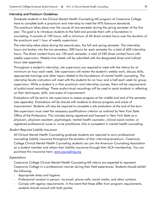# Internship and Practicum Guidelines

Graduate students in the Clinical Mental Health Counseling MS program at Cazenovia College have to complete both a practicum and internship to meet the NYS licensure standards. The practicum takes place over the course of one semester during the spring semester of the first year. The goal is to introduce students to the field and provide them with a foundation in counseling. It consists of 100 hours, with a minimum of 40 direct contact hours over the duration of the practicum and 1 hour of weekly supervision.

The internship takes place during the second year, the fall and spring semester. The internship hours are broken into the two semesters, 300 hours for each semester for a total of 600 internship hours. The direct contact hours are 120 each semester, a total of 240 direct contact hours with weekly supervision. Weekly time sheets will be submitted with the designated direct and indirect hours (see appendix).

Throughout a student's internship, site supervisors are required to meet with the interns for at minimum an hour each week. Site supervisors will review the student's weekly work, discuss skills, appropriate trainings and other topics related to the foundations of mental health counseling. The internship faculty instructors will meet with the students for an hour and a half each week for group supervision. While a student is in their practicum and internship courses, there will be requirements of audio/visual recordings. These audio/visual recordings will be used to assist students in reflecting on their techniques, skills, and areas of improvement.

Evaluations will be sent to site supervisors to assess progress at the middle and end of the semester (see appendix). Evaluations will be shared with students to discuss progress and areas of improvement. Students will also be required to complete a site evaluation at the end of the term.

Site supervisors must meet the necessary qualifications criterion as outlined by New York State Office of the Professions. This includes being registered and licensed in New York State as a physician, physician assistant, psychologist, mental health counselor, clinical social worker, or registered professional nurse or nurse practitioner who is competent in mental health counseling.

# Student Required Liability Insurance

All Clinical Mental Health Counseling graduate students are required to carry professional counseling liability insurance throughout the duration of their internship/practicum. Cazenovia College Clinical Mental Health Counseling students can join the American Counseling Association as a student member and obtain their liability insurance through their ACA membership. You can purchase this insurance here: [www.counseling.org](http://www.counseling.org/)

# **Expectations**

Cazenovia College Clinical Mental Health Counseling MS interns are expected to represent Cazenovia College in a professional manner during their field experiences. Students should exhibit the following:

- Appropriate dress and hygiene.
- Professional conduct in person, via email, phone calls, social media, and other contacts.
- Comply with agency requirements. In the event that these differ from program requirements, students should consult with both parties.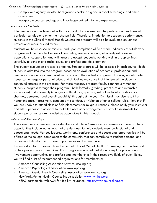- Comply with agency initiated background checks, drug and alcohol screenings, and other assessment.
- Incorporate course readings and knowledge gained into field experiences.

#### Evaluation of Students

Interpersonal and professional skills are important in determining the professional readiness of a particular candidate to enter their chosen field. Therefore, in addition to academic performance, students in the Clinical Mental Health Counseling program will also be evaluated on various professional readiness indicators.

Students will be assessed at midterm and upon completion of field work. Indicators of satisfactory progress include the effectiveness of counseling sessions, working effectively with diverse populations, cooperation and willingness to accept feedback, working well in group settings, sensitivity to gender and racial issues, and professional development.

The student evaluation process is ongoing. Student progress will be assessed in each course. Each student is admitted into the program based on an evaluation of academic, professional and personal characteristics associated with success in the student's program. However, unanticipated issues can emerge or personal crises and difficulties may arise that interfere with a student's continued success in the program. For these reasons, program faculty continuously monitor students' progress through their program—both formally (grading, practicum and internship evaluations) and informally (changes in attendance, speaking with other faculty, participation changes, demeanor and overall capability) throughout the year. Dismissal may also result from nonattendance, harassment, academic misconduct, or violation of other college rules. Note that if you are unable to attend class or field placements for religious reasons, please notify your instructor and site supervisor in advance to make the necessary arrangements. Formal assessments for student performance are included as appendices in this manual.

#### Professional Memberships

There are many professional opportunities available in Cazenovia and surrounding areas. These opportunities include workshops that are designed to help students meet professional and educational needs. Various lectures, workshops, conferences and educational opportunities will be offered at the college, some open to the community that can contribute to student personal and professional development. These opportunities will be announced.

It is important for professionals in the field of Clinical Mental Health Counseling be an active part of their professional communities. It is strongly encouraged that students explore professional involvement opportunities and professional membership in their respective fields of study. Below you will find a list of recommended organizations for membership:

- American Counseling Association www.counseling.org
- American Psychological Association www.apa.org
- American Mental Health Counseling Association www.amhca.org
- New York Mental Health Counseling Association [www.nymhca.org](http://www.nymhca.org/)
- HSPO partnership with ACA for liability insurance: [https://www.counseling.org](https://www.counseling.org/)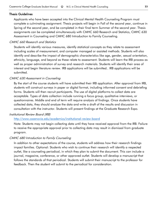# Thesis Guidelines

Applicants who have been accepted into the Clinical Mental Health Counseling Program must complete a culminating assignment. Thesis projects will begin in Fall of the second year, continue in Spring of the second year, and be completed in their final term Summer of the second year. Thesis assignments can be completed simultaneously with CMHC 660 Research and Statistics, CMHC 630 Assessment in Counseling and CMHC 680 Introduction to Family Counseling.

# CMHC 660 Research and Statistics

Students will identify various measures, identify statistical concepts as they relate to assessment including scales of measurement, and computer managed or assisted methods. Students will also identify and describe the impact of demographic characteristics like age, gender, sexual orientation, ethnicity, language, and beyond as these relate to assessment. Students will learn the IRB process as well as proper administration of survey and research materials. Students will identify their area of interest and begin literature review. IRB applications will be submitted.. IRB applications will be submitted.

# CMHC 630 Assessment in Counseling

By the start of the course students will have submitted their IRB application. After approval from IRB, students will construct surveys in paper or digital format, including informed consent and debriefing forms. Students will then recruit participants. The use of digital platforms to collect data are acceptable. Types of data collection include running a focus group, qualitative interviews, or questionnaires. Middle and end of term will require analysis of findings. Once students have collected data, they should analyze the data and write a draft of the results and discussion in consultation with the instructor. Students will present findings at the Graduate Research Expo.

# Institutional Review Board (IRB)

# <http://www.cazenovia.edu/academics/institutional-review-board>

Note: Students may not begin collecting data until they have received approval from the IRB. Failure to receive the appropriate approval prior to collecting data may result in dismissal from graduate program.

# CMHC 680 Introduction to Family Counseling

In addition to other expectations of the course, students will address how their research findings impact families. Optional: Students who wish to continue their research will identify a respected outlet, like a counseling periodical, in which they plan to submit the document. This can include a journal, magazine, conference, or other approved outlet. Students will develop a manuscript that follows the standards of that periodical. Students will submit their manuscript to the professor for feedback. Then the student will submit to the periodical for consideration.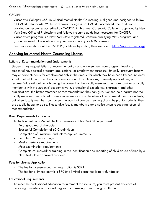# **CACREP**

Cazenovia College's M.S. in Clinical Mental Health Counseling is aligned and designed to follow all CACREP standards. While Cazenovia College is not CACREP accredited, the institution is working on becoming accredited by CACREP. At this time, Cazenovia College is approved by New York State Office of Professions and follows the same guidelines necessary for CACREP. Cazenovia's program is a New York State registered licensure qualifying MHC program, and graduates meet all educational requirements to apply for NYS licensure.

See more details about the CACREP guidelines by visiting their website at<https://www.cacrep.org/>

# Applying for Mental Health Counseling License

#### Letters of Recommendation and Endorsements

Students may request letters of recommendation and endorsement from program faculty for credentialing, doctoral program applications, or employment purposes. Ethically, graduate faculty may endorse students for employment only in the area(s) for which they have been trained. Students should not list faculty members as references on job applications, university applications, or resumes/vitae without first obtaining the consent of the faculty member. The more familiar a faculty member is with the students' academic work, professional experience, character, and other qualifications, the better reference or recommendation they can give. Neither the program nor the faculty members are obliged to serve as references or write letters of recommendation for students, but when faculty members can do so in a way that can be meaningful and helpful to students, they are usually happy to do so. Please give faculty members ample notice when requesting letters of recommendation.

# Basic Requirements for License

To be licensed as a Mental Health Counselor in New York State you must:

- Be of good moral character
- Successful Completion of 60 Credit Hours
- Completion of Practicum and Internship Requirements
- Be at least 21 years of age
- Meet experience requirements
- Meet examination requirements
- Complete coursework or training in the identification and reporting of child abuse offered by a New York State approved provider

# Fees for License Application

- The fee for licensure and first registration is \$371.
- The fee for a limited permit is \$70 (the limited permit fee is not refundable).

#### Educational Requirements

To meet the professional education requirement for licensure, you must present evidence of receiving a master's or doctoral degree in counseling from a program that is: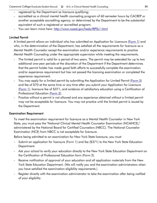- registered by the Department as licensure qualifying;
- accredited as a clinical mental health counseling program of 60 semester hours by CACREP or another acceptable accrediting agency; or determined by the Department to be the substantial equivalent of such a registered or accredited program.
- You can learn more here:<http://www.nysed.gov/heds/IRPSL1.html>

# Limited Permit

A limited permit allows an individual who has submitted an Application for Licensure [\(Form 1\)](http://www.op.nysed.gov/prof/mhp/mhcforms.htm) and who, in the determination of the Department, has satisfied all the requirements for licensure as a Mental Health Counselor except the examination and/or experience requirements to practice Mental Health Counseling under the appropriate supervision while meeting the requirements.

- The limited permit is valid for a period of two years. The permit may be extended for up to two additional one-year periods at the discretion of the Department if the Department determines that the permit holder has made good faith efforts to successfully complete the examination and/or experience requirement but has not passed the licensing examination or completed the experience requirement.
- You may apply for a limited permit by submitting the Application for Limited Permit [\(Form 5\)](http://www.op.nysed.gov/prof/mhp/mhcforms.htm) and fee of \$70 at the same time or any time after you submit your Application for Licensure [\(Form 1\)](http://www.op.nysed.gov/prof/mhp/mhcforms.htm), licensure fee of \$371, and evidence of satisfactory education using a Certification of Professional Education [\(Form 2\)](http://www.op.nysed.gov/prof/mhp/mhcforms.htm).
- Practice without a permit is not allowed and any experience obtained without a limited permit may not be acceptable for licensure. You may not practice until the limited permit is issued by the Department.

# Examination Requirement

To meet the examination requirement for licensure as a Mental Health Counselor in New York State, you must pass the "National Clinical Mental Health Counselor Examination (NCMHCE)," administered by the National Board for Certified Counselors (NBCC). The National Counselor Examination (NCE) from NBCC is not acceptable for licensure.

Before being admitted to an examination for New York State licensure, you must

- Submit an application for licensure [\(Form 1\)](http://www.op.nysed.gov/prof/mhp/mhcforms.htm) and fee (\$371) to the New York State Education Department.
- Ask your school to verify your education directly to the New York State Education Department on the Certification of Professional Education form [\(Form 2\)](http://www.op.nysed.gov/prof/mhp/mhcforms.htm).
- Receive notification of approval of your education and all application materials from the New York State Education Department. (We will notify you and the examination administrators when you have satisfied the examination eligibility requirements.)
- Register directly with the examination administrator to take the examination after being notified of your eligibility.